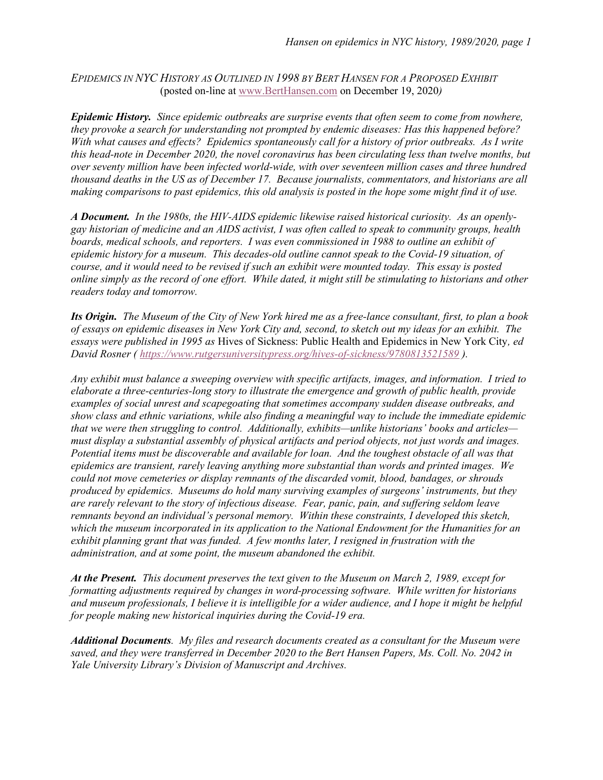EPIDEMICS IN NYC HISTORY AS OUTLINED IN 1998 BY BERT HANSEN FOR A PROPOSED EXHIBIT (posted on-line at www.BertHansen.com on December 19, 2020)

Epidemic History. Since epidemic outbreaks are surprise events that often seem to come from nowhere, they provoke a search for understanding not prompted by endemic diseases: Has this happened before? With what causes and effects? Epidemics spontaneously call for a history of prior outbreaks. As I write this head-note in December 2020, the novel coronavirus has been circulating less than twelve months, but over seventy million have been infected world-wide, with over seventeen million cases and three hundred thousand deaths in the US as of December 17. Because journalists, commentators, and historians are all making comparisons to past epidemics, this old analysis is posted in the hope some might find it of use.

A Document. In the 1980s, the HIV-AIDS epidemic likewise raised historical curiosity. As an openlygay historian of medicine and an AIDS activist, I was often called to speak to community groups, health boards, medical schools, and reporters. I was even commissioned in 1988 to outline an exhibit of epidemic history for a museum. This decades-old outline cannot speak to the Covid-19 situation, of course, and it would need to be revised if such an exhibit were mounted today. This essay is posted online simply as the record of one effort. While dated, it might still be stimulating to historians and other readers today and tomorrow.

Its Origin. The Museum of the City of New York hired me as a free-lance consultant, first, to plan a book of essays on epidemic diseases in New York City and, second, to sketch out my ideas for an exhibit. The essays were published in 1995 as Hives of Sickness: Public Health and Epidemics in New York City, ed David Rosner ( https://www.rutgersuniversitypress.org/hives-of-sickness/9780813521589 ).

Any exhibit must balance a sweeping overview with specific artifacts, images, and information. I tried to elaborate a three-centuries-long story to illustrate the emergence and growth of public health, provide examples of social unrest and scapegoating that sometimes accompany sudden disease outbreaks, and show class and ethnic variations, while also finding a meaningful way to include the immediate epidemic that we were then struggling to control. Additionally, exhibits—unlike historians' books and articles must display a substantial assembly of physical artifacts and period objects, not just words and images. Potential items must be discoverable and available for loan. And the toughest obstacle of all was that epidemics are transient, rarely leaving anything more substantial than words and printed images. We could not move cemeteries or display remnants of the discarded vomit, blood, bandages, or shrouds produced by epidemics. Museums do hold many surviving examples of surgeons' instruments, but they are rarely relevant to the story of infectious disease. Fear, panic, pain, and suffering seldom leave remnants beyond an individual's personal memory. Within these constraints, I developed this sketch, which the museum incorporated in its application to the National Endowment for the Humanities for an exhibit planning grant that was funded. A few months later, I resigned in frustration with the administration, and at some point, the museum abandoned the exhibit.

At the Present. This document preserves the text given to the Museum on March 2, 1989, except for formatting adjustments required by changes in word-processing software. While written for historians and museum professionals, I believe it is intelligible for a wider audience, and I hope it might be helpful for people making new historical inquiries during the Covid-19 era.

Additional Documents. My files and research documents created as a consultant for the Museum were saved, and they were transferred in December 2020 to the Bert Hansen Papers, Ms. Coll. No. 2042 in Yale University Library's Division of Manuscript and Archives.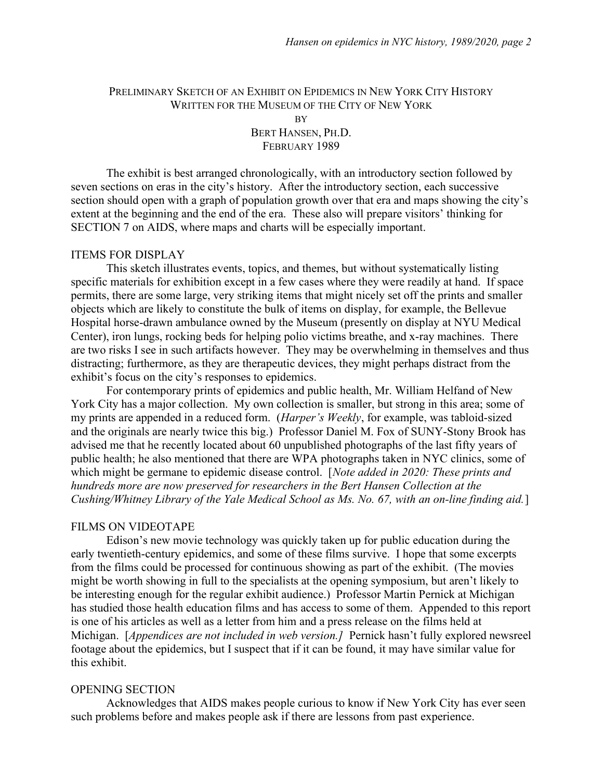# PRELIMINARY SKETCH OF AN EXHIBIT ON EPIDEMICS IN NEW YORK CITY HISTORY WRITTEN FOR THE MUSEUM OF THE CITY OF NEW YORK BY BERT HANSEN, PH.D. FEBRUARY 1989

 The exhibit is best arranged chronologically, with an introductory section followed by seven sections on eras in the city's history. After the introductory section, each successive section should open with a graph of population growth over that era and maps showing the city's extent at the beginning and the end of the era. These also will prepare visitors' thinking for SECTION 7 on AIDS, where maps and charts will be especially important.

## ITEMS FOR DISPLAY

 This sketch illustrates events, topics, and themes, but without systematically listing specific materials for exhibition except in a few cases where they were readily at hand. If space permits, there are some large, very striking items that might nicely set off the prints and smaller objects which are likely to constitute the bulk of items on display, for example, the Bellevue Hospital horse-drawn ambulance owned by the Museum (presently on display at NYU Medical Center), iron lungs, rocking beds for helping polio victims breathe, and x-ray machines. There are two risks I see in such artifacts however. They may be overwhelming in themselves and thus distracting; furthermore, as they are therapeutic devices, they might perhaps distract from the exhibit's focus on the city's responses to epidemics.

 For contemporary prints of epidemics and public health, Mr. William Helfand of New York City has a major collection. My own collection is smaller, but strong in this area; some of my prints are appended in a reduced form. (Harper's Weekly, for example, was tabloid-sized and the originals are nearly twice this big.) Professor Daniel M. Fox of SUNY-Stony Brook has advised me that he recently located about 60 unpublished photographs of the last fifty years of public health; he also mentioned that there are WPA photographs taken in NYC clinics, some of which might be germane to epidemic disease control. [*Note added in 2020: These prints and* hundreds more are now preserved for researchers in the Bert Hansen Collection at the Cushing/Whitney Library of the Yale Medical School as Ms. No. 67, with an on-line finding aid.]

## FILMS ON VIDEOTAPE

 Edison's new movie technology was quickly taken up for public education during the early twentieth-century epidemics, and some of these films survive. I hope that some excerpts from the films could be processed for continuous showing as part of the exhibit. (The movies might be worth showing in full to the specialists at the opening symposium, but aren't likely to be interesting enough for the regular exhibit audience.) Professor Martin Pernick at Michigan has studied those health education films and has access to some of them. Appended to this report is one of his articles as well as a letter from him and a press release on the films held at Michigan. [*Appendices are not included in web version.]* Pernick hasn't fully explored newsreel footage about the epidemics, but I suspect that if it can be found, it may have similar value for this exhibit.

#### OPENING SECTION

 Acknowledges that AIDS makes people curious to know if New York City has ever seen such problems before and makes people ask if there are lessons from past experience.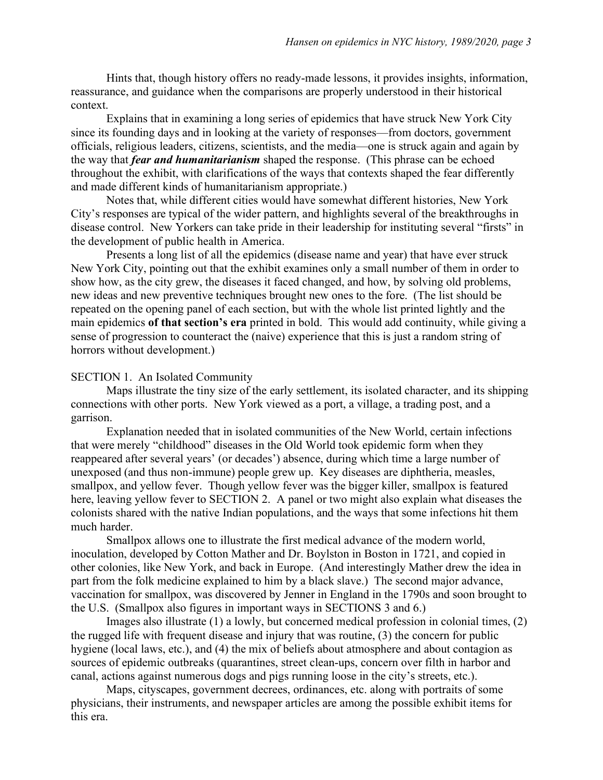Hints that, though history offers no ready-made lessons, it provides insights, information, reassurance, and guidance when the comparisons are properly understood in their historical context.

 Explains that in examining a long series of epidemics that have struck New York City since its founding days and in looking at the variety of responses—from doctors, government officials, religious leaders, citizens, scientists, and the media—one is struck again and again by the way that *fear and humanitarianism* shaped the response. (This phrase can be echoed throughout the exhibit, with clarifications of the ways that contexts shaped the fear differently and made different kinds of humanitarianism appropriate.)

 Notes that, while different cities would have somewhat different histories, New York City's responses are typical of the wider pattern, and highlights several of the breakthroughs in disease control. New Yorkers can take pride in their leadership for instituting several "firsts" in the development of public health in America.

 Presents a long list of all the epidemics (disease name and year) that have ever struck New York City, pointing out that the exhibit examines only a small number of them in order to show how, as the city grew, the diseases it faced changed, and how, by solving old problems, new ideas and new preventive techniques brought new ones to the fore. (The list should be repeated on the opening panel of each section, but with the whole list printed lightly and the main epidemics of that section's era printed in bold. This would add continuity, while giving a sense of progression to counteract the (naive) experience that this is just a random string of horrors without development.)

#### SECTION 1. An Isolated Community

 Maps illustrate the tiny size of the early settlement, its isolated character, and its shipping connections with other ports. New York viewed as a port, a village, a trading post, and a garrison.

 Explanation needed that in isolated communities of the New World, certain infections that were merely "childhood" diseases in the Old World took epidemic form when they reappeared after several years' (or decades') absence, during which time a large number of unexposed (and thus non-immune) people grew up. Key diseases are diphtheria, measles, smallpox, and yellow fever. Though yellow fever was the bigger killer, smallpox is featured here, leaving yellow fever to SECTION 2. A panel or two might also explain what diseases the colonists shared with the native Indian populations, and the ways that some infections hit them much harder.

 Smallpox allows one to illustrate the first medical advance of the modern world, inoculation, developed by Cotton Mather and Dr. Boylston in Boston in 1721, and copied in other colonies, like New York, and back in Europe. (And interestingly Mather drew the idea in part from the folk medicine explained to him by a black slave.) The second major advance, vaccination for smallpox, was discovered by Jenner in England in the 1790s and soon brought to the U.S. (Smallpox also figures in important ways in SECTIONS 3 and 6.)

 Images also illustrate (1) a lowly, but concerned medical profession in colonial times, (2) the rugged life with frequent disease and injury that was routine, (3) the concern for public hygiene (local laws, etc.), and (4) the mix of beliefs about atmosphere and about contagion as sources of epidemic outbreaks (quarantines, street clean-ups, concern over filth in harbor and canal, actions against numerous dogs and pigs running loose in the city's streets, etc.).

 Maps, cityscapes, government decrees, ordinances, etc. along with portraits of some physicians, their instruments, and newspaper articles are among the possible exhibit items for this era.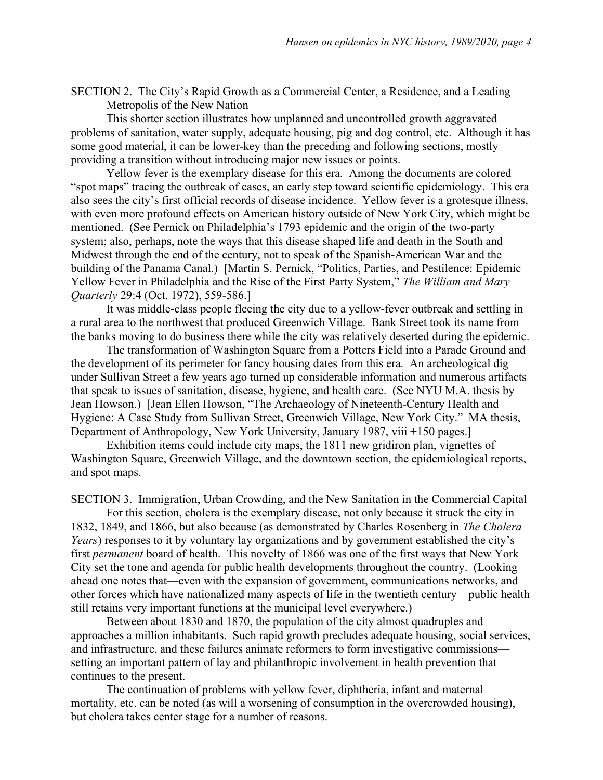SECTION 2. The City's Rapid Growth as a Commercial Center, a Residence, and a Leading Metropolis of the New Nation

 This shorter section illustrates how unplanned and uncontrolled growth aggravated problems of sanitation, water supply, adequate housing, pig and dog control, etc. Although it has some good material, it can be lower-key than the preceding and following sections, mostly providing a transition without introducing major new issues or points.

 Yellow fever is the exemplary disease for this era. Among the documents are colored "spot maps" tracing the outbreak of cases, an early step toward scientific epidemiology. This era also sees the city's first official records of disease incidence. Yellow fever is a grotesque illness, with even more profound effects on American history outside of New York City, which might be mentioned. (See Pernick on Philadelphia's 1793 epidemic and the origin of the two-party system; also, perhaps, note the ways that this disease shaped life and death in the South and Midwest through the end of the century, not to speak of the Spanish-American War and the building of the Panama Canal.) [Martin S. Pernick, "Politics, Parties, and Pestilence: Epidemic Yellow Fever in Philadelphia and the Rise of the First Party System," The William and Mary Quarterly 29:4 (Oct. 1972), 559-586.]

 It was middle-class people fleeing the city due to a yellow-fever outbreak and settling in a rural area to the northwest that produced Greenwich Village. Bank Street took its name from the banks moving to do business there while the city was relatively deserted during the epidemic.

 The transformation of Washington Square from a Potters Field into a Parade Ground and the development of its perimeter for fancy housing dates from this era. An archeological dig under Sullivan Street a few years ago turned up considerable information and numerous artifacts that speak to issues of sanitation, disease, hygiene, and health care. (See NYU M.A. thesis by Jean Howson.) [Jean Ellen Howson, "The Archaeology of Nineteenth-Century Health and Hygiene: A Case Study from Sullivan Street, Greenwich Village, New York City." MA thesis, Department of Anthropology, New York University, January 1987, viii +150 pages.]

 Exhibition items could include city maps, the 1811 new gridiron plan, vignettes of Washington Square, Greenwich Village, and the downtown section, the epidemiological reports, and spot maps.

SECTION 3. Immigration, Urban Crowding, and the New Sanitation in the Commercial Capital

 For this section, cholera is the exemplary disease, not only because it struck the city in 1832, 1849, and 1866, but also because (as demonstrated by Charles Rosenberg in The Cholera Years) responses to it by voluntary lay organizations and by government established the city's first permanent board of health. This novelty of 1866 was one of the first ways that New York City set the tone and agenda for public health developments throughout the country. (Looking ahead one notes that—even with the expansion of government, communications networks, and other forces which have nationalized many aspects of life in the twentieth century—public health still retains very important functions at the municipal level everywhere.)

 Between about 1830 and 1870, the population of the city almost quadruples and approaches a million inhabitants. Such rapid growth precludes adequate housing, social services, and infrastructure, and these failures animate reformers to form investigative commissions setting an important pattern of lay and philanthropic involvement in health prevention that continues to the present.

 The continuation of problems with yellow fever, diphtheria, infant and maternal mortality, etc. can be noted (as will a worsening of consumption in the overcrowded housing), but cholera takes center stage for a number of reasons.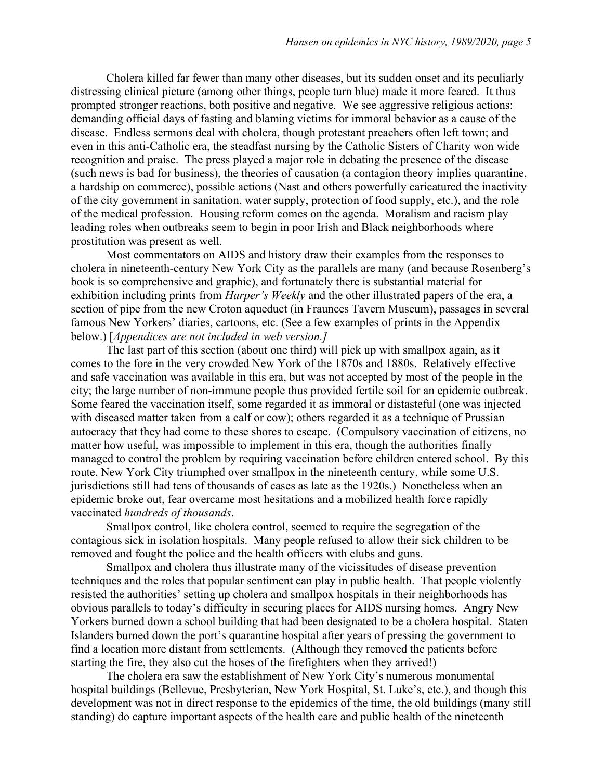Cholera killed far fewer than many other diseases, but its sudden onset and its peculiarly distressing clinical picture (among other things, people turn blue) made it more feared. It thus prompted stronger reactions, both positive and negative. We see aggressive religious actions: demanding official days of fasting and blaming victims for immoral behavior as a cause of the disease. Endless sermons deal with cholera, though protestant preachers often left town; and even in this anti-Catholic era, the steadfast nursing by the Catholic Sisters of Charity won wide recognition and praise. The press played a major role in debating the presence of the disease (such news is bad for business), the theories of causation (a contagion theory implies quarantine, a hardship on commerce), possible actions (Nast and others powerfully caricatured the inactivity of the city government in sanitation, water supply, protection of food supply, etc.), and the role of the medical profession. Housing reform comes on the agenda. Moralism and racism play leading roles when outbreaks seem to begin in poor Irish and Black neighborhoods where prostitution was present as well.

 Most commentators on AIDS and history draw their examples from the responses to cholera in nineteenth-century New York City as the parallels are many (and because Rosenberg's book is so comprehensive and graphic), and fortunately there is substantial material for exhibition including prints from *Harper's Weekly* and the other illustrated papers of the era, a section of pipe from the new Croton aqueduct (in Fraunces Tavern Museum), passages in several famous New Yorkers' diaries, cartoons, etc. (See a few examples of prints in the Appendix below.) [*Appendices are not included in web version.*]

 The last part of this section (about one third) will pick up with smallpox again, as it comes to the fore in the very crowded New York of the 1870s and 1880s. Relatively effective and safe vaccination was available in this era, but was not accepted by most of the people in the city; the large number of non-immune people thus provided fertile soil for an epidemic outbreak. Some feared the vaccination itself, some regarded it as immoral or distasteful (one was injected with diseased matter taken from a calf or cow); others regarded it as a technique of Prussian autocracy that they had come to these shores to escape. (Compulsory vaccination of citizens, no matter how useful, was impossible to implement in this era, though the authorities finally managed to control the problem by requiring vaccination before children entered school. By this route, New York City triumphed over smallpox in the nineteenth century, while some U.S. jurisdictions still had tens of thousands of cases as late as the 1920s.) Nonetheless when an epidemic broke out, fear overcame most hesitations and a mobilized health force rapidly vaccinated hundreds of thousands.

 Smallpox control, like cholera control, seemed to require the segregation of the contagious sick in isolation hospitals. Many people refused to allow their sick children to be removed and fought the police and the health officers with clubs and guns.

 Smallpox and cholera thus illustrate many of the vicissitudes of disease prevention techniques and the roles that popular sentiment can play in public health. That people violently resisted the authorities' setting up cholera and smallpox hospitals in their neighborhoods has obvious parallels to today's difficulty in securing places for AIDS nursing homes. Angry New Yorkers burned down a school building that had been designated to be a cholera hospital. Staten Islanders burned down the port's quarantine hospital after years of pressing the government to find a location more distant from settlements. (Although they removed the patients before starting the fire, they also cut the hoses of the firefighters when they arrived!)

 The cholera era saw the establishment of New York City's numerous monumental hospital buildings (Bellevue, Presbyterian, New York Hospital, St. Luke's, etc.), and though this development was not in direct response to the epidemics of the time, the old buildings (many still standing) do capture important aspects of the health care and public health of the nineteenth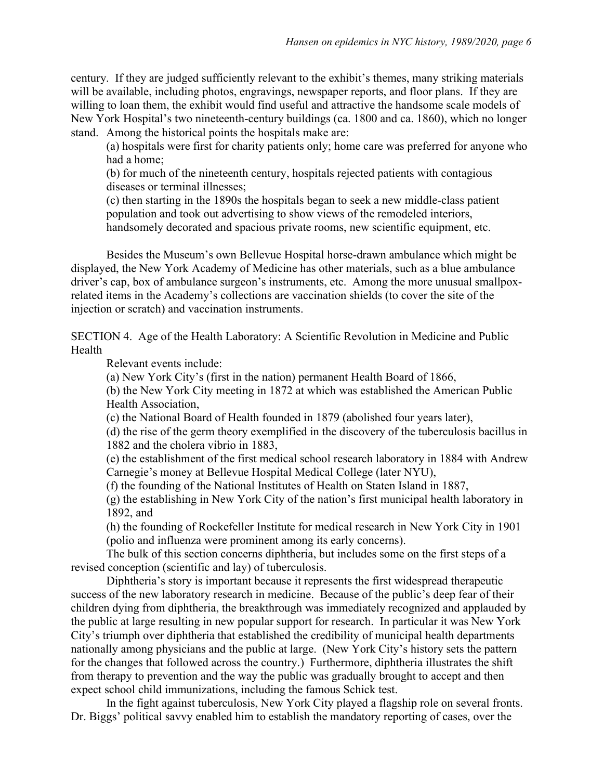century. If they are judged sufficiently relevant to the exhibit's themes, many striking materials will be available, including photos, engravings, newspaper reports, and floor plans. If they are willing to loan them, the exhibit would find useful and attractive the handsome scale models of New York Hospital's two nineteenth-century buildings (ca. 1800 and ca. 1860), which no longer stand. Among the historical points the hospitals make are:

(a) hospitals were first for charity patients only; home care was preferred for anyone who had a home;

(b) for much of the nineteenth century, hospitals rejected patients with contagious diseases or terminal illnesses;

(c) then starting in the 1890s the hospitals began to seek a new middle-class patient population and took out advertising to show views of the remodeled interiors, handsomely decorated and spacious private rooms, new scientific equipment, etc.

 Besides the Museum's own Bellevue Hospital horse-drawn ambulance which might be displayed, the New York Academy of Medicine has other materials, such as a blue ambulance driver's cap, box of ambulance surgeon's instruments, etc. Among the more unusual smallpoxrelated items in the Academy's collections are vaccination shields (to cover the site of the injection or scratch) and vaccination instruments.

SECTION 4. Age of the Health Laboratory: A Scientific Revolution in Medicine and Public Health

Relevant events include:

(a) New York City's (first in the nation) permanent Health Board of 1866,

(b) the New York City meeting in 1872 at which was established the American Public Health Association,

(c) the National Board of Health founded in 1879 (abolished four years later),

(d) the rise of the germ theory exemplified in the discovery of the tuberculosis bacillus in 1882 and the cholera vibrio in 1883,

(e) the establishment of the first medical school research laboratory in 1884 with Andrew Carnegie's money at Bellevue Hospital Medical College (later NYU),

(f) the founding of the National Institutes of Health on Staten Island in 1887,

(g) the establishing in New York City of the nation's first municipal health laboratory in 1892, and

(h) the founding of Rockefeller Institute for medical research in New York City in 1901 (polio and influenza were prominent among its early concerns).

 The bulk of this section concerns diphtheria, but includes some on the first steps of a revised conception (scientific and lay) of tuberculosis.

 Diphtheria's story is important because it represents the first widespread therapeutic success of the new laboratory research in medicine. Because of the public's deep fear of their children dying from diphtheria, the breakthrough was immediately recognized and applauded by the public at large resulting in new popular support for research. In particular it was New York City's triumph over diphtheria that established the credibility of municipal health departments nationally among physicians and the public at large. (New York City's history sets the pattern for the changes that followed across the country.) Furthermore, diphtheria illustrates the shift from therapy to prevention and the way the public was gradually brought to accept and then expect school child immunizations, including the famous Schick test.

 In the fight against tuberculosis, New York City played a flagship role on several fronts. Dr. Biggs' political savvy enabled him to establish the mandatory reporting of cases, over the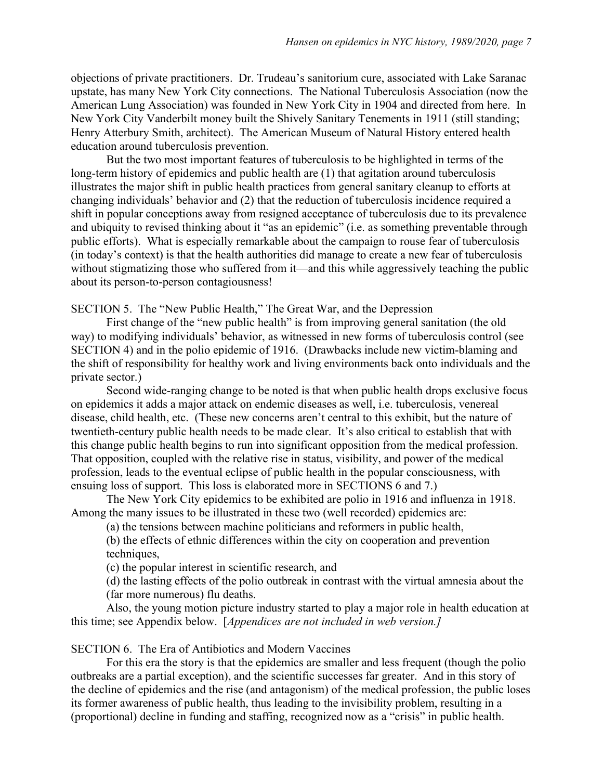objections of private practitioners. Dr. Trudeau's sanitorium cure, associated with Lake Saranac upstate, has many New York City connections. The National Tuberculosis Association (now the American Lung Association) was founded in New York City in 1904 and directed from here. In New York City Vanderbilt money built the Shively Sanitary Tenements in 1911 (still standing; Henry Atterbury Smith, architect). The American Museum of Natural History entered health education around tuberculosis prevention.

 But the two most important features of tuberculosis to be highlighted in terms of the long-term history of epidemics and public health are (1) that agitation around tuberculosis illustrates the major shift in public health practices from general sanitary cleanup to efforts at changing individuals' behavior and (2) that the reduction of tuberculosis incidence required a shift in popular conceptions away from resigned acceptance of tuberculosis due to its prevalence and ubiquity to revised thinking about it "as an epidemic" (i.e. as something preventable through public efforts). What is especially remarkable about the campaign to rouse fear of tuberculosis (in today's context) is that the health authorities did manage to create a new fear of tuberculosis without stigmatizing those who suffered from it—and this while aggressively teaching the public about its person-to-person contagiousness!

SECTION 5. The "New Public Health," The Great War, and the Depression

 First change of the "new public health" is from improving general sanitation (the old way) to modifying individuals' behavior, as witnessed in new forms of tuberculosis control (see SECTION 4) and in the polio epidemic of 1916. (Drawbacks include new victim-blaming and the shift of responsibility for healthy work and living environments back onto individuals and the private sector.)

 Second wide-ranging change to be noted is that when public health drops exclusive focus on epidemics it adds a major attack on endemic diseases as well, i.e. tuberculosis, venereal disease, child health, etc. (These new concerns aren't central to this exhibit, but the nature of twentieth-century public health needs to be made clear. It's also critical to establish that with this change public health begins to run into significant opposition from the medical profession. That opposition, coupled with the relative rise in status, visibility, and power of the medical profession, leads to the eventual eclipse of public health in the popular consciousness, with ensuing loss of support. This loss is elaborated more in SECTIONS 6 and 7.)

 The New York City epidemics to be exhibited are polio in 1916 and influenza in 1918. Among the many issues to be illustrated in these two (well recorded) epidemics are:

(a) the tensions between machine politicians and reformers in public health,

(b) the effects of ethnic differences within the city on cooperation and prevention techniques.

(c) the popular interest in scientific research, and

(d) the lasting effects of the polio outbreak in contrast with the virtual amnesia about the (far more numerous) flu deaths.

 Also, the young motion picture industry started to play a major role in health education at this time; see Appendix below. [Appendices are not included in web version.]

SECTION 6. The Era of Antibiotics and Modern Vaccines

 For this era the story is that the epidemics are smaller and less frequent (though the polio outbreaks are a partial exception), and the scientific successes far greater. And in this story of the decline of epidemics and the rise (and antagonism) of the medical profession, the public loses its former awareness of public health, thus leading to the invisibility problem, resulting in a (proportional) decline in funding and staffing, recognized now as a "crisis" in public health.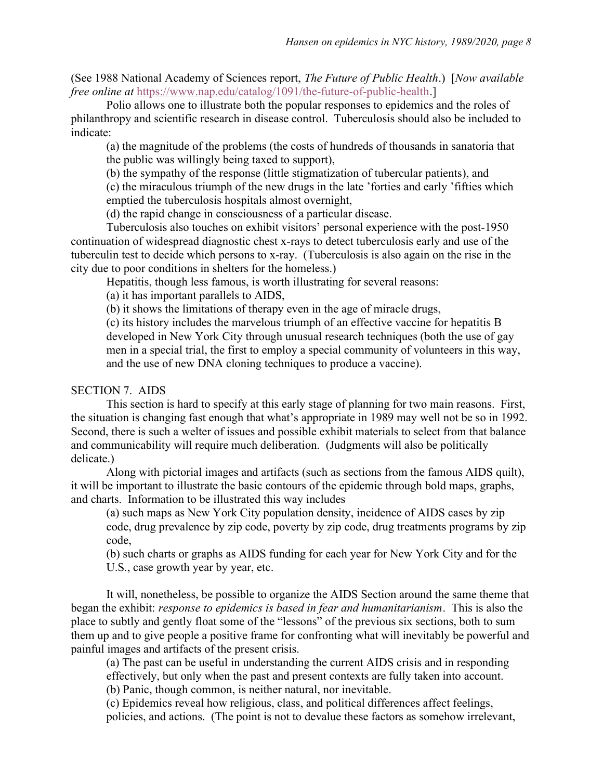(See 1988 National Academy of Sciences report, The Future of Public Health.) [Now available free online at https://www.nap.edu/catalog/1091/the-future-of-public-health.]

 Polio allows one to illustrate both the popular responses to epidemics and the roles of philanthropy and scientific research in disease control. Tuberculosis should also be included to indicate:

(a) the magnitude of the problems (the costs of hundreds of thousands in sanatoria that the public was willingly being taxed to support),

(b) the sympathy of the response (little stigmatization of tubercular patients), and

(c) the miraculous triumph of the new drugs in the late 'forties and early 'fifties which emptied the tuberculosis hospitals almost overnight,

(d) the rapid change in consciousness of a particular disease.

 Tuberculosis also touches on exhibit visitors' personal experience with the post-1950 continuation of widespread diagnostic chest x-rays to detect tuberculosis early and use of the tuberculin test to decide which persons to x-ray. (Tuberculosis is also again on the rise in the city due to poor conditions in shelters for the homeless.)

Hepatitis, though less famous, is worth illustrating for several reasons:

(a) it has important parallels to AIDS,

(b) it shows the limitations of therapy even in the age of miracle drugs,

(c) its history includes the marvelous triumph of an effective vaccine for hepatitis B developed in New York City through unusual research techniques (both the use of gay men in a special trial, the first to employ a special community of volunteers in this way, and the use of new DNA cloning techniques to produce a vaccine).

## SECTION 7. AIDS

 This section is hard to specify at this early stage of planning for two main reasons. First, the situation is changing fast enough that what's appropriate in 1989 may well not be so in 1992. Second, there is such a welter of issues and possible exhibit materials to select from that balance and communicability will require much deliberation. (Judgments will also be politically delicate.)

 Along with pictorial images and artifacts (such as sections from the famous AIDS quilt), it will be important to illustrate the basic contours of the epidemic through bold maps, graphs, and charts. Information to be illustrated this way includes

(a) such maps as New York City population density, incidence of AIDS cases by zip code, drug prevalence by zip code, poverty by zip code, drug treatments programs by zip code,

(b) such charts or graphs as AIDS funding for each year for New York City and for the U.S., case growth year by year, etc.

 It will, nonetheless, be possible to organize the AIDS Section around the same theme that began the exhibit: *response to epidemics is based in fear and humanitarianism*. This is also the place to subtly and gently float some of the "lessons" of the previous six sections, both to sum them up and to give people a positive frame for confronting what will inevitably be powerful and painful images and artifacts of the present crisis.

(a) The past can be useful in understanding the current AIDS crisis and in responding effectively, but only when the past and present contexts are fully taken into account.

(b) Panic, though common, is neither natural, nor inevitable.

(c) Epidemics reveal how religious, class, and political differences affect feelings, policies, and actions. (The point is not to devalue these factors as somehow irrelevant,